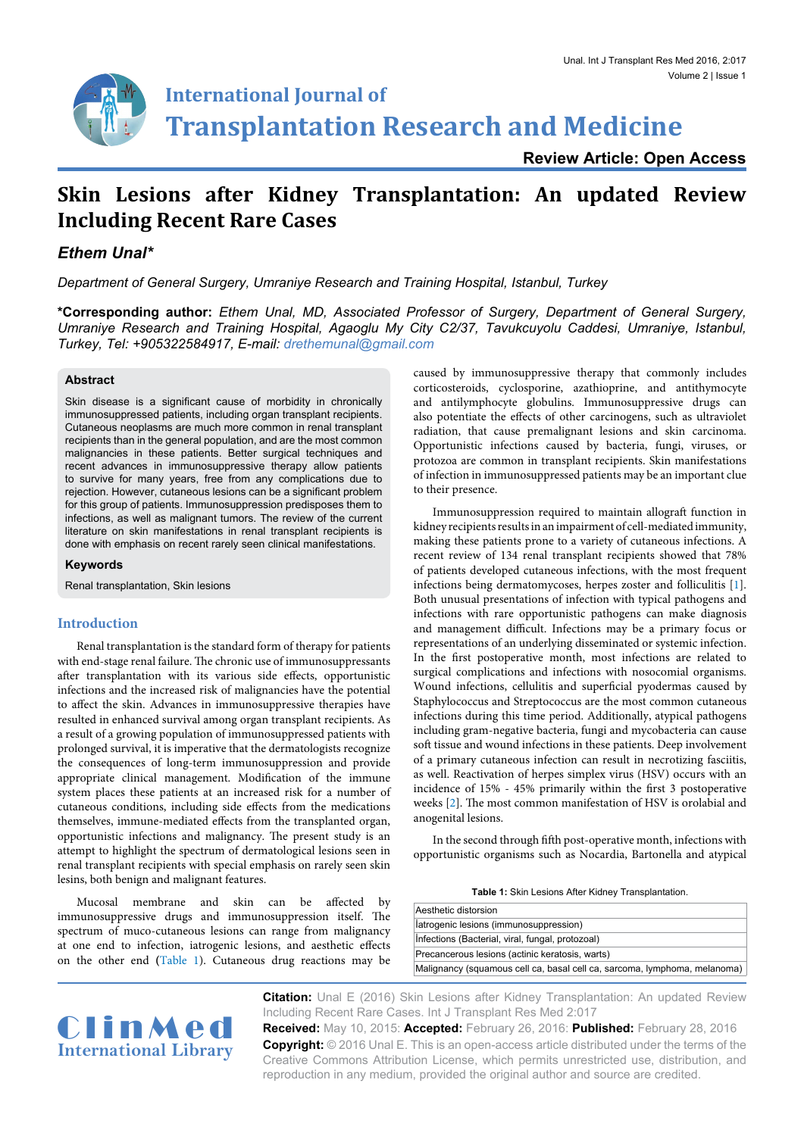

# **International Journal of Transplantation Research and Medicine**

**Review Article: Open Access**

# **Skin Lesions after Kidney Transplantation: An updated Review Including Recent Rare Cases**

## *Ethem Unal\**

*Department of General Surgery, Umraniye Research and Training Hospital, Istanbul, Turkey*

**\*Corresponding author:** *Ethem Unal, MD, Associated Professor of Surgery, Department of General Surgery, Umraniye Research and Training Hospital, Agaoglu My City C2/37, Tavukcuyolu Caddesi, Umraniye, Istanbul, Turkey, Tel: +905322584917, E-mail: drethemunal@gmail.com*

#### **Abstract**

Skin disease is a significant cause of morbidity in chronically immunosuppressed patients, including organ transplant recipients. Cutaneous neoplasms are much more common in renal transplant recipients than in the general population, and are the most common malignancies in these patients. Better surgical techniques and recent advances in immunosuppressive therapy allow patients to survive for many years, free from any complications due to rejection. However, cutaneous lesions can be a significant problem for this group of patients. Immunosuppression predisposes them to infections, as well as malignant tumors. The review of the current literature on skin manifestations in renal transplant recipients is done with emphasis on recent rarely seen clinical manifestations.

**Keywords**

Renal transplantation, Skin lesions

### **Introduction**

Renal transplantation is the standard form of therapy for patients with end-stage renal failure. The chronic use of immunosuppressants after transplantation with its various side effects, opportunistic infections and the increased risk of malignancies have the potential to affect the skin. Advances in immunosuppressive therapies have resulted in enhanced survival among organ transplant recipients. As a result of a growing population of immunosuppressed patients with prolonged survival, it is imperative that the dermatologists recognize the consequences of long-term immunosuppression and provide appropriate clinical management. Modification of the immune system places these patients at an increased risk for a number of cutaneous conditions, including side effects from the medications themselves, immune-mediated effects from the transplanted organ, opportunistic infections and malignancy. The present study is an attempt to highlight the spectrum of dermatological lesions seen in renal transplant recipients with special emphasis on rarely seen skin lesins, both benign and malignant features.

Mucosal membrane and skin can be affected by immunosuppressive drugs and immunosuppression itself. The spectrum of muco-cutaneous lesions can range from malignancy at one end to infection, iatrogenic lesions, and aesthetic effects on the other end **(**[Table 1\)](#page-0-0). Cutaneous drug reactions may be

caused by immunosuppressive therapy that commonly includes corticosteroids, cyclosporine, azathioprine, and antithymocyte and antilymphocyte globulins. Immunosuppressive drugs can also potentiate the effects of other carcinogens, such as ultraviolet radiation, that cause premalignant lesions and skin carcinoma. Opportunistic infections caused by bacteria, fungi, viruses, or protozoa are common in transplant recipients. Skin manifestations of infection in immunosuppressed patients may be an important clue to their presence.

Immunosuppression required to maintain allograft function in kidney recipients results in an impairment of cell-mediated immunity, making these patients prone to a variety of cutaneous infections. A recent review of 134 renal transplant recipients showed that 78% of patients developed cutaneous infections, with the most frequent infections being dermatomycoses, herpes zoster and folliculitis [\[1\]](#page-2-0). Both unusual presentations of infection with typical pathogens and infections with rare opportunistic pathogens can make diagnosis and management difficult. Infections may be a primary focus or representations of an underlying disseminated or systemic infection. In the first postoperative month, most infections are related to surgical complications and infections with nosocomial organisms. Wound infections, cellulitis and superficial pyodermas caused by Staphylococcus and Streptococcus are the most common cutaneous infections during this time period. Additionally, atypical pathogens including gram-negative bacteria, fungi and mycobacteria can cause soft tissue and wound infections in these patients. Deep involvement of a primary cutaneous infection can result in necrotizing fasciitis, as well. Reactivation of herpes simplex virus (HSV) occurs with an incidence of 15% - 45% primarily within the first 3 postoperative weeks [\[2\]](#page-2-1). The most common manifestation of HSV is orolabial and anogenital lesions.

In the second through fifth post-operative month, infections with opportunistic organisms such as Nocardia, Bartonella and atypical

<span id="page-0-0"></span>**Table 1:** Skin Lesions After Kidney Transplantation.

| Aesthetic distorsion                                                      |
|---------------------------------------------------------------------------|
| latrogenic lesions (immunosuppression)                                    |
| Infections (Bacterial, viral, fungal, protozoal)                          |
| Precancerous lesions (actinic keratosis, warts)                           |
| Malignancy (squamous cell ca, basal cell ca, sarcoma, lymphoma, melanoma) |

**Citation:** Unal E (2016) Skin Lesions after Kidney Transplantation: An updated Review Including Recent Rare Cases. Int J Transplant Res Med 2:017

**Received:** May 10, 2015: **Accepted:** February 26, 2016: **Published:** February 28, 2016 **Copyright:** © 2016 Unal E. This is an open-access article distributed under the terms of the Creative Commons Attribution License, which permits unrestricted use, distribution, and reproduction in any medium, provided the original author and source are credited.

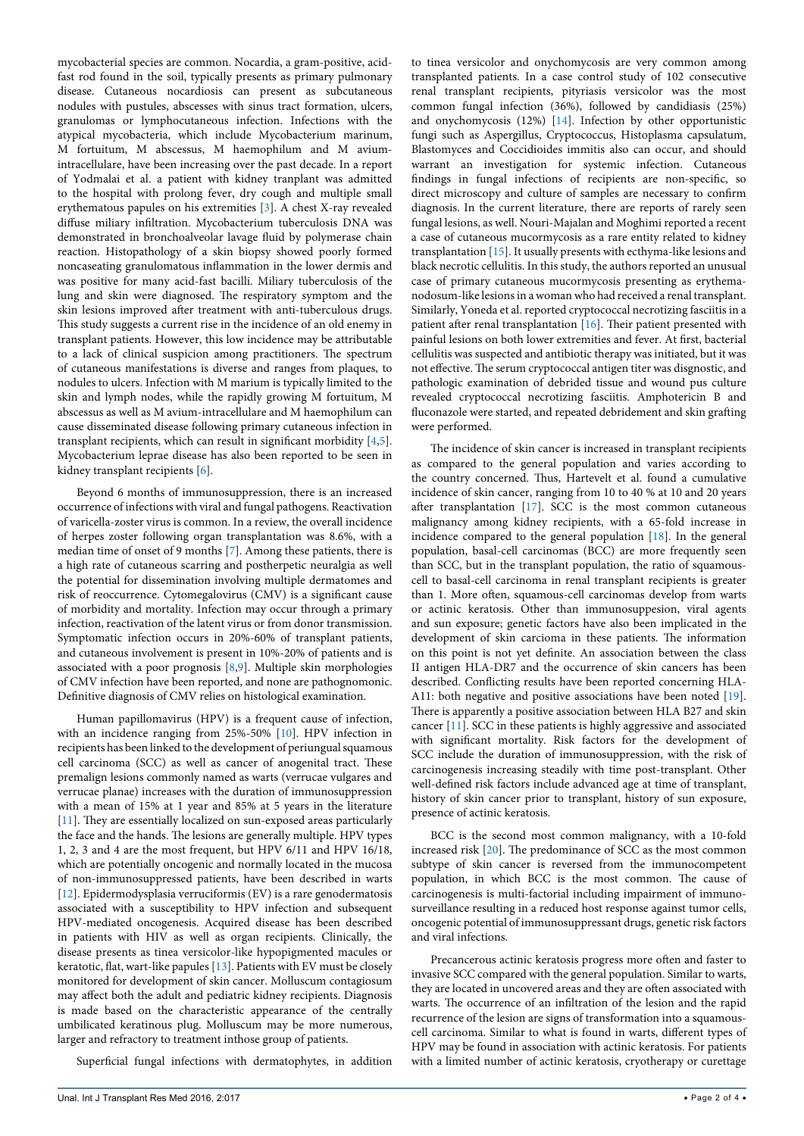mycobacterial species are common. Nocardia, a gram-positive, acidfast rod found in the soil, typically presents as primary pulmonary disease. Cutaneous nocardiosis can present as subcutaneous nodules with pustules, abscesses with sinus tract formation, ulcers, granulomas or lymphocutaneous infection. Infections with the atypical mycobacteria, which include Mycobacterium marinum, M fortuitum, M abscessus, M haemophilum and M aviumintracellulare, have been increasing over the past decade. In a report of Yodmalai et al. a patient with kidney tranplant was admitted to the hospital with prolong fever, dry cough and multiple small erythematous papules on his extremities [[3\]](#page-2-2). A chest X-ray revealed diffuse miliary infiltration. Mycobacterium tuberculosis DNA was demonstrated in bronchoalveolar lavage fluid by polymerase chain reaction. Histopathology of a skin biopsy showed poorly formed noncaseating granulomatous inflammation in the lower dermis and was positive for many acid-fast bacilli. Miliary tuberculosis of the lung and skin were diagnosed. The respiratory symptom and the skin lesions improved after treatment with anti-tuberculous drugs. This study suggests a current rise in the incidence of an old enemy in transplant patients. However, this low incidence may be attributable to a lack of clinical suspicion among practitioners. The spectrum of cutaneous manifestations is diverse and ranges from plaques, to nodules to ulcers. Infection with M marium is typically limited to the skin and lymph nodes, while the rapidly growing M fortuitum, M abscessus as well as M avium-intracellulare and M haemophilum can cause disseminated disease following primary cutaneous infection in transplant recipients, which can result in significant morbidity [[4](#page-2-3)[,5](#page-3-0)]. Mycobacterium leprae disease has also been reported to be seen in kidney transplant recipients [\[6\]](#page-3-1).

Beyond 6 months of immunosuppression, there is an increased occurrence of infections with viral and fungal pathogens. Reactivation of varicella-zoster virus is common. In a review, the overall incidence of herpes zoster following organ transplantation was 8.6%, with a median time of onset of 9 months [[7](#page-3-2)]. Among these patients, there is a high rate of cutaneous scarring and postherpetic neuralgia as well the potential for dissemination involving multiple dermatomes and risk of reoccurrence. Cytomegalovirus (CMV) is a significant cause of morbidity and mortality. Infection may occur through a primary infection, reactivation of the latent virus or from donor transmission. Symptomatic infection occurs in 20%-60% of transplant patients, and cutaneous involvement is present in 10%-20% of patients and is associated with a poor prognosis [[8](#page-3-3)[,9](#page-3-4)]. Multiple skin morphologies of CMV infection have been reported, and none are pathognomonic. Definitive diagnosis of CMV relies on histological examination.

Human papillomavirus (HPV) is a frequent cause of infection, with an incidence ranging from 25%-50% [[10](#page-3-5)]. HPV infection in recipients has been linked to the development of periungual squamous cell carcinoma (SCC) as well as cancer of anogenital tract. These premalign lesions commonly named as warts (verrucae vulgares and verrucae planae) increases with the duration of immunosuppression with a mean of 15% at 1 year and 85% at 5 years in the literature [[11](#page-3-6)]. They are essentially localized on sun-exposed areas particularly the face and the hands. The lesions are generally multiple. HPV types 1, 2, 3 and 4 are the most frequent, but HPV 6/11 and HPV 16/18, which are potentially oncogenic and normally located in the mucosa of non‐immunosuppressed patients, have been described in warts [[12](#page-3-7)]. Epidermodysplasia verruciformis (EV) is a rare genodermatosis associated with a susceptibility to HPV infection and subsequent HPV-mediated oncogenesis. Acquired disease has been described in patients with HIV as well as organ recipients. Clinically, the disease presents as tinea versicolor-like hypopigmented macules or keratotic, flat, wart-like papules [[13](#page-3-8)]. Patients with EV must be closely monitored for development of skin cancer. Molluscum contagiosum may affect both the adult and pediatric kidney recipients. Diagnosis is made based on the characteristic appearance of the centrally umbilicated keratinous plug. Molluscum may be more numerous, larger and refractory to treatment inthose group of patients.

Superficial fungal infections with dermatophytes, in addition

to tinea versicolor and onychomycosis are very common among transplanted patients. In a case control study of 102 consecutive renal transplant recipients, pityriasis versicolor was the most common fungal infection (36%), followed by candidiasis (25%) and onychomycosis (12%) [[14](#page-3-9)]. Infection by other opportunistic fungi such as Aspergillus, Cryptococcus, Histoplasma capsulatum, Blastomyces and Coccidioides immitis also can occur, and should warrant an investigation for systemic infection. Cutaneous findings in fungal infections of recipients are non-specific, so direct microscopy and culture of samples are necessary to confirm diagnosis. In the current literature, there are reports of rarely seen fungal lesions, as well. Nouri-Majalan and Moghimi reported a recent a case of cutaneous mucormycosis as a rare entity related to kidney transplantation [[15\]](#page-3-10). It usually presents with ecthyma-like lesions and black necrotic cellulitis. In this study, the authors reported an unusual case of primary cutaneous mucormycosis presenting as erythemanodosum-like lesions in a woman who had received a renal transplant. Similarly, Yoneda et al. reported cryptococcal necrotizing fasciitis in a patient after renal transplantation [\[16\]](#page-3-11). Their patient presented with painful lesions on both lower extremities and fever. At first, bacterial cellulitis was suspected and antibiotic therapy was initiated, but it was not effective. The serum cryptococcal antigen titer was disgnostic, and pathologic examination of debrided tissue and wound pus culture revealed cryptococcal necrotizing fasciitis. Amphotericin B and fluconazole were started, and repeated debridement and skin grafting were performed.

The incidence of skin cancer is increased in transplant recipients as compared to the general population and varies according to the country concerned. Thus, Hartevelt et al. found a cumulative incidence of skin cancer, ranging from 10 to 40 % at 10 and 20 years after transplantation [\[17\]](#page-3-12). SCC is the most common cutaneous malignancy among kidney recipients, with a 65-fold increase in incidence compared to the general population [\[18](#page-3-13)]. In the general population, basal‐cell carcinomas (BCC) are more frequently seen than SCC, but in the transplant population, the ratio of squamouscell to basal‐cell carcinoma in renal transplant recipients is greater than 1. More often, squamous‐cell carcinomas develop from warts or actinic keratosis. Other than immunosuppesion, viral agents and sun exposure; genetic factors have also been implicated in the development of skin carcioma in these patients. The information on this point is not yet definite. An association between the class II antigen HLA‐DR7 and the occurrence of skin cancers has been described. Conflicting results have been reported concerning HLA‐ A11: both negative and positive associations have been noted [[19\]](#page-3-14). There is apparently a positive association between HLA B27 and skin cancer [[11](#page-3-6)]. SCC in these patients is highly aggressive and associated with significant mortality. Risk factors for the development of SCC include the duration of immunosuppression, with the risk of carcinogenesis increasing steadily with time post-transplant. Other well-defined risk factors include advanced age at time of transplant, history of skin cancer prior to transplant, history of sun exposure, presence of actinic keratosis.

BCC is the second most common malignancy, with a 10-fold increased risk [\[20](#page-3-15)]. The predominance of SCC as the most common subtype of skin cancer is reversed from the immunocompetent population, in which BCC is the most common. The cause of carcinogenesis is multi-factorial including impairment of immunosurveillance resulting in a reduced host response against tumor cells, oncogenic potential of immunosuppressant drugs, genetic risk factors and viral infections.

Precancerous actinic keratosis progress more often and faster to invasive SCC compared with the general population. Similar to warts, they are located in uncovered areas and they are often associated with warts. The occurrence of an infiltration of the lesion and the rapid recurrence of the lesion are signs of transformation into a squamous‐ cell carcinoma. Similar to what is found in warts, different types of HPV may be found in association with actinic keratosis. For patients with a limited number of actinic keratosis, cryotherapy or curettage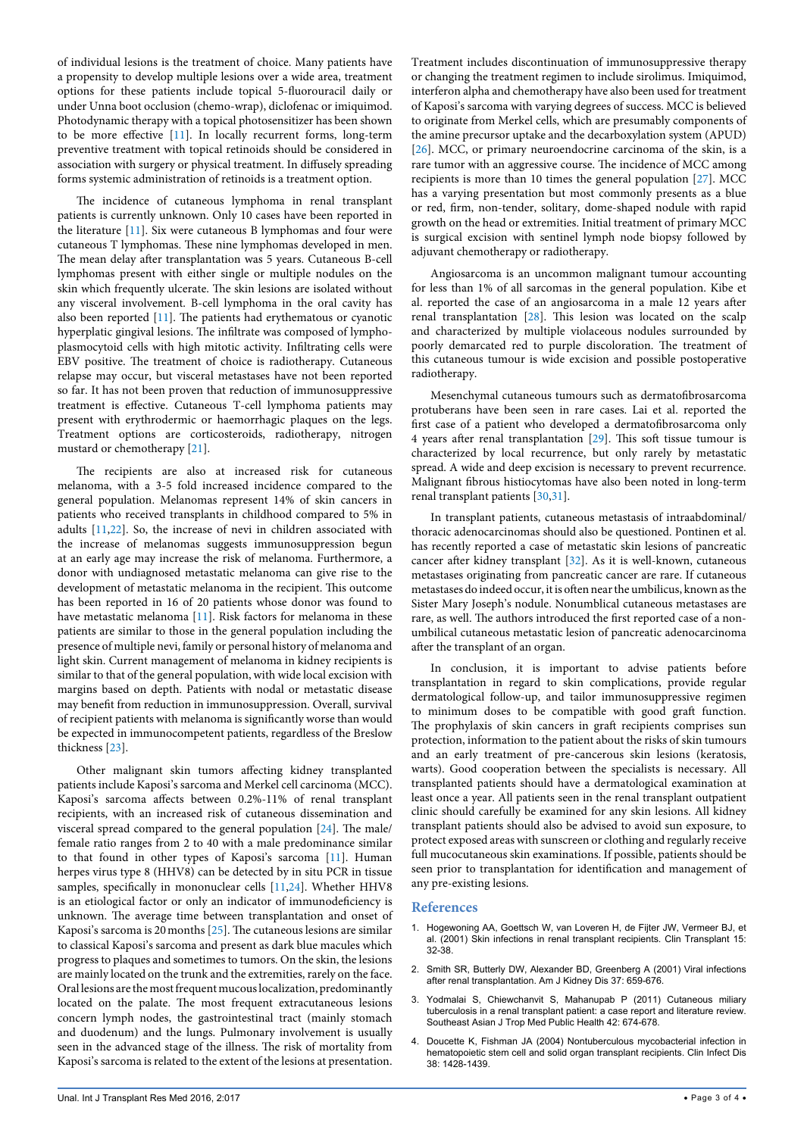of individual lesions is the treatment of choice. Many patients have a propensity to develop multiple lesions over a wide area, treatment options for these patients include topical 5-fluorouracil daily or under Unna boot occlusion (chemo-wrap), diclofenac or imiquimod. Photodynamic therapy with a topical photosensitizer has been shown to be more effective [[11](#page-3-6)]. In locally recurrent forms, long-term preventive treatment with topical retinoids should be considered in association with surgery or physical treatment. In diffusely spreading forms systemic administration of retinoids is a treatment option.

The incidence of cutaneous lymphoma in renal transplant patients is currently unknown. Only 10 cases have been reported in the literature [[11](#page-3-6)]. Six were cutaneous B lymphomas and four were cutaneous T lymphomas. These nine lymphomas developed in men. The mean delay after transplantation was 5 years. Cutaneous B‐cell lymphomas present with either single or multiple nodules on the skin which frequently ulcerate. The skin lesions are isolated without any visceral involvement. B‐cell lymphoma in the oral cavity has also been reported [\[11](#page-3-6)]. The patients had erythematous or cyanotic hyperplatic gingival lesions. The infiltrate was composed of lympho‐ plasmocytoid cells with high mitotic activity. Infiltrating cells were EBV positive. The treatment of choice is radiotherapy. Cutaneous relapse may occur, but visceral metastases have not been reported so far. It has not been proven that reduction of immunosuppressive treatment is effective. Cutaneous T-cell lymphoma patients may present with erythrodermic or haemorrhagic plaques on the legs. Treatment options are corticosteroids, radiotherapy, nitrogen mustard or chemotherapy [[21](#page-3-16)].

The recipients are also at increased risk for cutaneous melanoma, with a 3-5 fold increased incidence compared to the general population. Melanomas represent 14% of skin cancers in patients who received transplants in childhood compared to 5% in adults [[11](#page-3-6),[22](#page-3-17)]. So, the increase of nevi in children associated with the increase of melanomas suggests immunosuppression begun at an early age may increase the risk of melanoma. Furthermore, a donor with undiagnosed metastatic melanoma can give rise to the development of metastatic melanoma in the recipient. This outcome has been reported in 16 of 20 patients whose donor was found to have metastatic melanoma [[11](#page-3-6)]. Risk factors for melanoma in these patients are similar to those in the general population including the presence of multiple nevi, family or personal history of melanoma and light skin. Current management of melanoma in kidney recipients is similar to that of the general population, with wide local excision with margins based on depth. Patients with nodal or metastatic disease may benefit from reduction in immunosuppression. Overall, survival of recipient patients with melanoma is significantly worse than would be expected in immunocompetent patients, regardless of the Breslow thickness [\[23\]](#page-3-18).

Other malignant skin tumors affecting kidney transplanted patients include Kaposi's sarcoma and Merkel cell carcinoma (MCC). Kaposi's sarcoma affects between 0.2%-11% of renal transplant recipients, with an increased risk of cutaneous dissemination and visceral spread compared to the general population [\[24\]](#page-3-19). The male/ female ratio ranges from 2 to 40 with a male predominance similar to that found in other types of Kaposi's sarcoma [\[11\]](#page-3-6). Human herpes virus type 8 (HHV8) can be detected by in situ PCR in tissue samples, specifically in mononuclear cells [\[11,](#page-3-6)[24](#page-3-19)]. Whether HHV8 is an etiological factor or only an indicator of immunodeficiency is unknown. The average time between transplantation and onset of Kaposi's sarcoma is 20months [[25](#page-3-20)]. The cutaneous lesions are similar to classical Kaposi's sarcoma and present as dark blue macules which progress to plaques and sometimes to tumors. On the skin, the lesions are mainly located on the trunk and the extremities, rarely on the face. Oral lesions are the most frequent mucous localization, predominantly located on the palate. The most frequent extracutaneous lesions concern lymph nodes, the gastrointestinal tract (mainly stomach and duodenum) and the lungs. Pulmonary involvement is usually seen in the advanced stage of the illness. The risk of mortality from Kaposi's sarcoma is related to the extent of the lesions at presentation.

Treatment includes discontinuation of immunosuppressive therapy or changing the treatment regimen to include sirolimus. Imiquimod, interferon alpha and chemotherapy have also been used for treatment of Kaposi's sarcoma with varying degrees of success. MCC is believed to originate from Merkel cells, which are presumably components of the amine precursor uptake and the decarboxylation system (APUD) [[26](#page-3-21)]. MCC, or primary neuroendocrine carcinoma of the skin, is a rare tumor with an aggressive course. The incidence of MCC among recipients is more than 10 times the general population [\[27\]](#page-3-22). MCC has a varying presentation but most commonly presents as a blue or red, firm, non-tender, solitary, dome-shaped nodule with rapid growth on the head or extremities. Initial treatment of primary MCC is surgical excision with sentinel lymph node biopsy followed by adjuvant chemotherapy or radiotherapy.

Angiosarcoma is an uncommon malignant tumour accounting for less than 1% of all sarcomas in the general population. Kibe et al. reported the case of an angiosarcoma in a male 12 years after renal transplantation [\[28\]](#page-3-23). This lesion was located on the scalp and characterized by multiple violaceous nodules surrounded by poorly demarcated red to purple discoloration. The treatment of this cutaneous tumour is wide excision and possible postoperative radiotherapy.

Mesenchymal cutaneous tumours such as dermatofibrosarcoma protuberans have been seen in rare cases. Lai et al. reported the first case of a patient who developed a dermatofibrosarcoma only 4 years after renal transplantation [[29](#page-3-24)]. This soft tissue tumour is characterized by local recurrence, but only rarely by metastatic spread. A wide and deep excision is necessary to prevent recurrence. Malignant fibrous histiocytomas have also been noted in long‐term renal transplant patients [[30](#page-3-25)[,31](#page-3-26)].

In transplant patients, cutaneous metastasis of intraabdominal/ thoracic adenocarcinomas should also be questioned. Pontinen et al. has recently reported a case of metastatic skin lesions of pancreatic cancer after kidney transplant [[32](#page-3-27)]. As it is well-known, cutaneous metastases originating from pancreatic cancer are rare. If cutaneous metastases do indeed occur, it is often near the umbilicus, known as the Sister Mary Joseph's nodule. Nonumblical cutaneous metastases are rare, as well. The authors introduced the first reported case of a nonumbilical cutaneous metastatic lesion of pancreatic adenocarcinoma after the transplant of an organ.

In conclusion, it is important to advise patients before transplantation in regard to skin complications, provide regular dermatological follow-up, and tailor immunosuppressive regimen to minimum doses to be compatible with good graft function. The prophylaxis of skin cancers in graft recipients comprises sun protection, information to the patient about the risks of skin tumours and an early treatment of pre‐cancerous skin lesions (keratosis, warts). Good cooperation between the specialists is necessary. All transplanted patients should have a dermatological examination at least once a year. All patients seen in the renal transplant outpatient clinic should carefully be examined for any skin lesions. All kidney transplant patients should also be advised to avoid sun exposure, to protect exposed areas with sunscreen or clothing and regularly receive full mucocutaneous skin examinations. If possible, patients should be seen prior to transplantation for identification and management of any pre-existing lesions.

#### **References**

- <span id="page-2-0"></span>1. [Hogewoning AA, Goettsch W, van Loveren H, de Fijter JW, Vermeer BJ, et](http://www.ncbi.nlm.nih.gov/pubmed/11168313)  [al. \(2001\) Skin infections in renal transplant recipients. Clin Transplant 15:](http://www.ncbi.nlm.nih.gov/pubmed/11168313)  [32-38.](http://www.ncbi.nlm.nih.gov/pubmed/11168313)
- <span id="page-2-1"></span>2. [Smith SR, Butterly DW, Alexander BD, Greenberg A \(2001\) Viral infections](http://www.ncbi.nlm.nih.gov/pubmed/11273865)  [after renal transplantation. Am J Kidney Dis 37: 659-676.](http://www.ncbi.nlm.nih.gov/pubmed/11273865)
- <span id="page-2-2"></span>3. [Yodmalai S, Chiewchanvit S, Mahanupab P \(2011\) Cutaneous miliary](http://www.ncbi.nlm.nih.gov/pubmed/21706946)  [tuberculosis in a renal transplant patient: a case report and literature review.](http://www.ncbi.nlm.nih.gov/pubmed/21706946)  [Southeast Asian J Trop Med Public Health 42: 674-678.](http://www.ncbi.nlm.nih.gov/pubmed/21706946)
- <span id="page-2-3"></span>4. [Doucette K, Fishman JA \(2004\) Nontuberculous mycobacterial infection in](http://www.ncbi.nlm.nih.gov/pubmed/15156482)  [hematopoietic stem cell and solid organ transplant recipients. Clin Infect Dis](http://www.ncbi.nlm.nih.gov/pubmed/15156482)  [38: 1428-1439.](http://www.ncbi.nlm.nih.gov/pubmed/15156482)